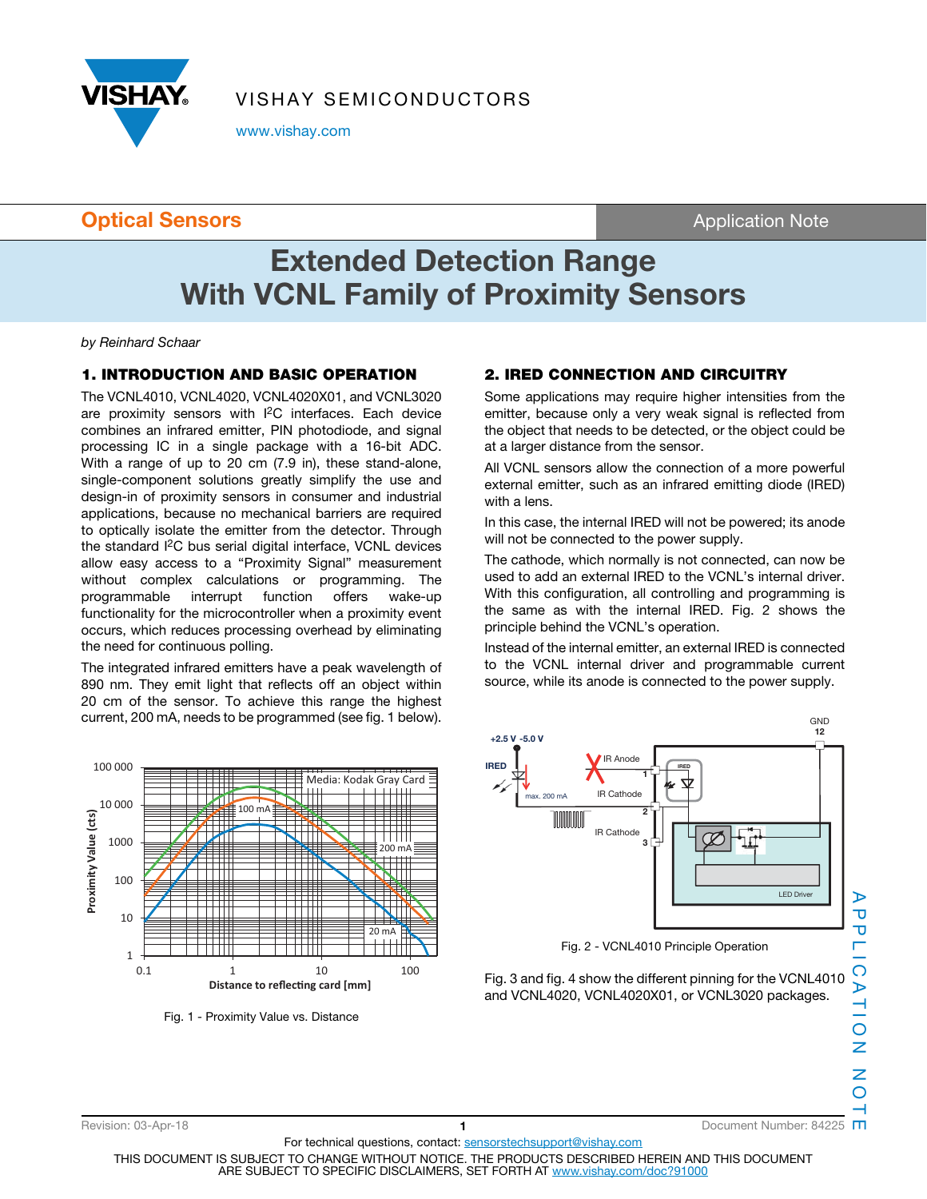

VISHAY SEMICONDUCTORS

www.vishay.com

### **Optical Sensors Contract Sensors Application Note**

# **Extended Detection Range With VCNL Family of Proximity Sensors**

by Reinhard Schaar

### **1. INTRODUCTION AND BASIC OPERATION**

The VCNL4010, VCNL4020, VCNL4020X01, and VCNL3020 are proximity sensors with I<sup>2</sup>C interfaces. Each device combines an infrared emitter, PIN photodiode, and signal processing IC in a single package with a 16-bit ADC. With a range of up to 20 cm (7.9 in), these stand-alone, single-component solutions greatly simplify the use and design-in of proximity sensors in consumer and industrial applications, because no mechanical barriers are required to optically isolate the emitter from the detector. Through the standard I2C bus serial digital interface, VCNL devices allow easy access to a "Proximity Signal" measurement without complex calculations or programming. The programmable interrupt function offers wake-up functionality for the microcontroller when a proximity event occurs, which reduces processing overhead by eliminating the need for continuous polling.

The integrated infrared emitters have a peak wavelength of 890 nm. They emit light that reflects off an object within 20 cm of the sensor. To achieve this range the highest current, 200 mA, needs to be programmed (see fig. 1 below).



Fig. 1 - Proximity Value vs. Distance

### **2. IRED CONNECTION AND CIRCUITRY**

Some applications may require higher intensities from the emitter, because only a very weak signal is reflected from the object that needs to be detected, or the object could be at a larger distance from the sensor.

All VCNL sensors allow the connection of a more powerful external emitter, such as an infrared emitting diode (IRED) with a lens.

In this case, the internal IRED will not be powered; its anode will not be connected to the power supply.

The cathode, which normally is not connected, can now be used to add an external IRED to the VCNL's internal driver. With this configuration, all controlling and programming is the same as with the internal IRED. Fig. 2 shows the principle behind the VCNL's operation.

Instead of the internal emitter, an external IRED is connected to the VCNL internal driver and programmable current source, while its anode is connected to the power supply.



Fig. 2 - VCNL4010 Principle Operation

Fig. 3 and fig. 4 show the different pinning for the VCNL4010 and VCNL4020, VCNL4020X01, or VCNL3020 packages.

THIS DOCUMENT IS SUBJECT TO CHANGE WITHOUT NOTICE. THE PRODUCTS DESCRIBED HEREIN AND THIS DOCUMENT ARE SUBJECT TO SPECIFIC DISCLAIMERS, SET FORTH AT www.vishay.com/doc?91000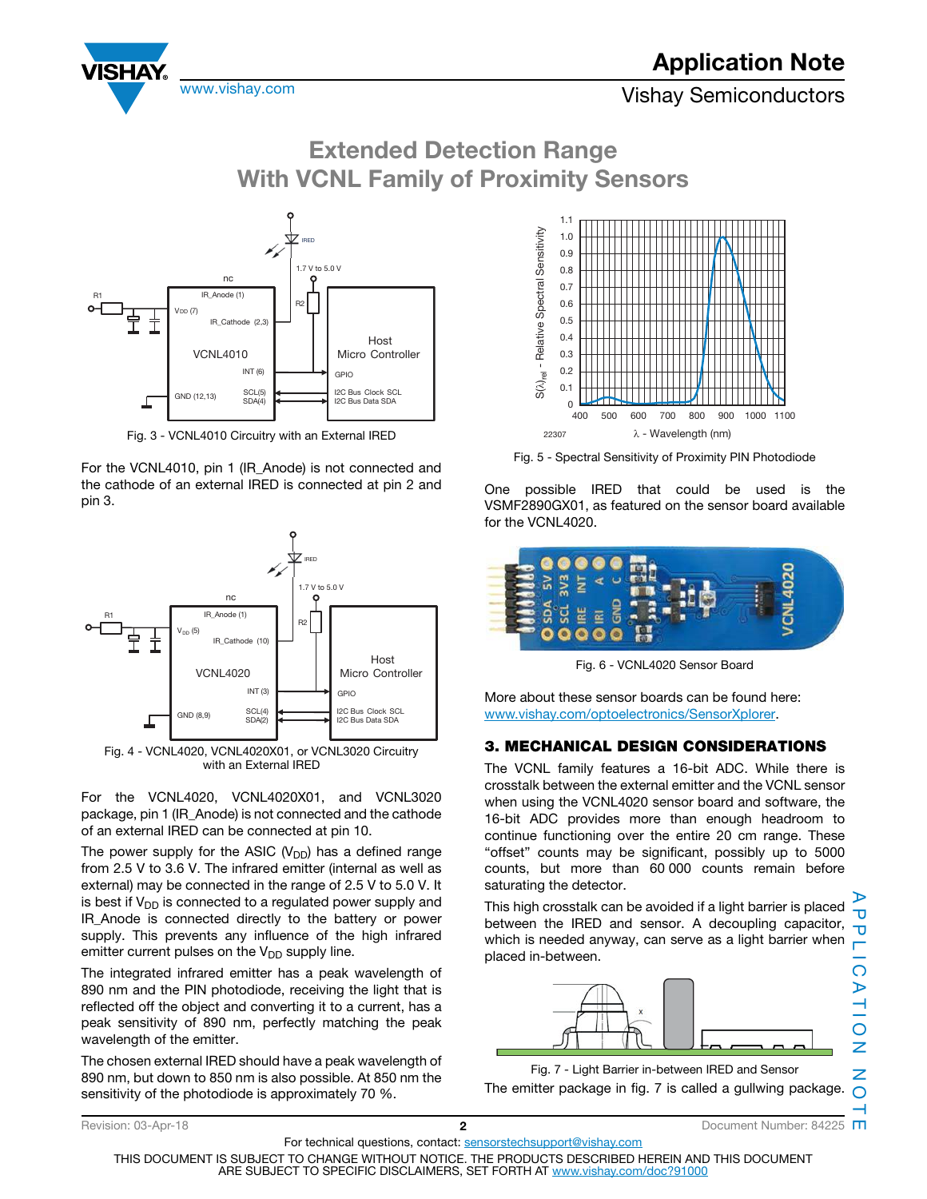

**Extended Detection Range With VCNL Family of Proximity Sensors**



Fig. 3 - VCNL4010 Circuitry with an External IRED

For the VCNL4010, pin 1 (IR\_Anode) is not connected and the cathode of an external IRED is connected at pin 2 and pin 3.



with an External IRED

For the VCNL4020, VCNL4020X01, and VCNL3020 package, pin 1 (IR\_Anode) is not connected and the cathode of an external IRED can be connected at pin 10.

The power supply for the ASIC ( $V_{DD}$ ) has a defined range from 2.5 V to 3.6 V. The infrared emitter (internal as well as external) may be connected in the range of 2.5 V to 5.0 V. It is best if  $V_{DD}$  is connected to a regulated power supply and IR\_Anode is connected directly to the battery or power supply. This prevents any influence of the high infrared emitter current pulses on the  $V_{DD}$  supply line.

The integrated infrared emitter has a peak wavelength of 890 nm and the PIN photodiode, receiving the light that is reflected off the object and converting it to a current, has a peak sensitivity of 890 nm, perfectly matching the peak wavelength of the emitter.

The chosen external IRED should have a peak wavelength of 890 nm, but down to 850 nm is also possible. At 850 nm the sensitivity of the photodiode is approximately 70 %.



Fig. 5 - Spectral Sensitivity of Proximity PIN Photodiode

One possible IRED that could be used is the VSMF2890GX01, as featured on the sensor board available for the VCNL4020.



Fig. 6 - VCNL4020 Sensor Board

More about these sensor boards can be found here: www.vishay.com/optoelectronics/SensorXplorer.

### **3. MECHANICAL DESIGN CONSIDERATIONS**

The VCNL family features a 16-bit ADC. While there is crosstalk between the external emitter and the VCNL sensor when using the VCNL4020 sensor board and software, the 16-bit ADC provides more than enough headroom to continue functioning over the entire 20 cm range. These "offset" counts may be significant, possibly up to 5000 counts, but more than 60 000 counts remain before saturating the detector.

This high crosstalk can be avoided if a light barrier is placed between the IRED and sensor. A decoupling capacitor, which is needed anyway, can serve as a light barrier when placed in-between.  $\overline{O}$ 



Fig. 7 - Light Barrier in-between IRED and Sensor

The emitter package in fig. 7 is called a gullwing package.

APPLICATION NOTE Revision: 03-Apr-18 **2 2 2 2** Document Number: 84225 **M** 

Ō Δ

 $\triangleright$  $\frac{1}{10}$ 

Z Z  $\Omega$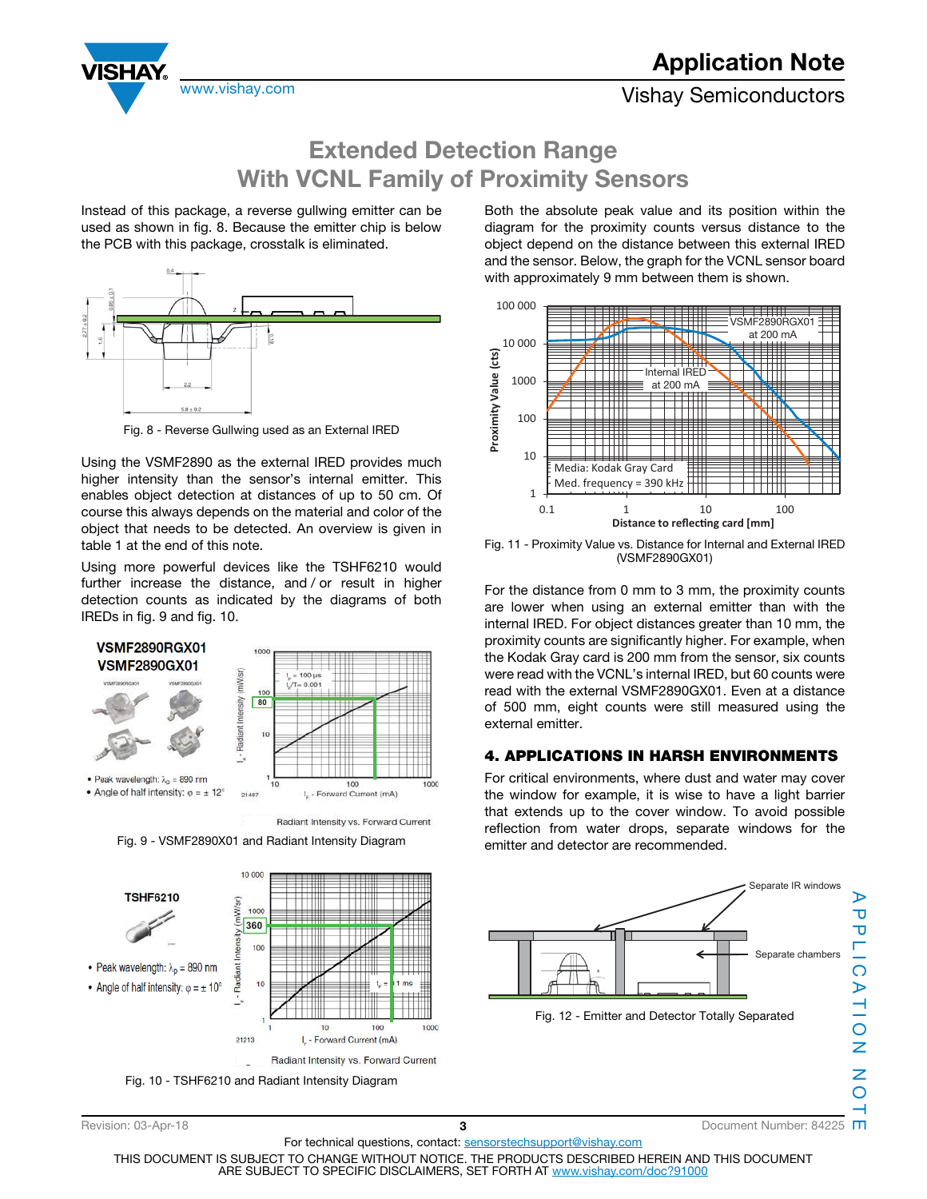



## **Extended Detection Range With VCNL Family of Proximity Sensors**

Instead of this package, a reverse gullwing emitter can be used as shown in fig. 8. Because the emitter chip is below the PCB with this package, crosstalk is eliminated.



Fig. 8 - Reverse Gullwing used as an External IRED

Using the VSMF2890 as the external IRED provides much higher intensity than the sensor's internal emitter. This enables object detection at distances of up to 50 cm. Of course this always depends on the material and color of the object that needs to be detected. An overview is given in table 1 at the end of this note.

Using more powerful devices like the TSHF6210 would further increase the distance, and / or result in higher detection counts as indicated by the diagrams of both IREDs in fig. 9 and fig. 10.



Fig. 9 - VSMF2890X01 and Radiant Intensity Diagram



Fig. 10 - TSHF6210 and Radiant Intensity Diagram

Both the absolute peak value and its position within the diagram for the proximity counts versus distance to the object depend on the distance between this external IRED and the sensor. Below, the graph for the VCNL sensor board with approximately 9 mm between them is shown.



Fig. 11 - Proximity Value vs. Distance for Internal and External IRED (VSMF2890GX01)

For the distance from 0 mm to 3 mm, the proximity counts are lower when using an external emitter than with the internal IRED. For object distances greater than 10 mm, the proximity counts are significantly higher. For example, when the Kodak Gray card is 200 mm from the sensor, six counts were read with the VCNL's internal IRED, but 60 counts were read with the external VSMF2890GX01. Even at a distance of 500 mm, eight counts were still measured using the external emitter.

#### **4. APPLICATIONS IN HARSH ENVIRONMENTS**

For critical environments, where dust and water may cover the window for example, it is wise to have a light barrier that extends up to the cover window. To avoid possible reflection from water drops, separate windows for the emitter and detector are recommended.



For technical questions, contact: sensorstechsupport@vishay.com THIS DOCUMENT IS SUBJECT TO CHANGE WITHOUT NOTICE. THE PRODUCTS DESCRIBED HEREIN AND THIS DOCUMENT ARE SUBJECT TO SPECIFIC DISCLAIMERS, SET FORTH AT www.vishay.com/doc?91000